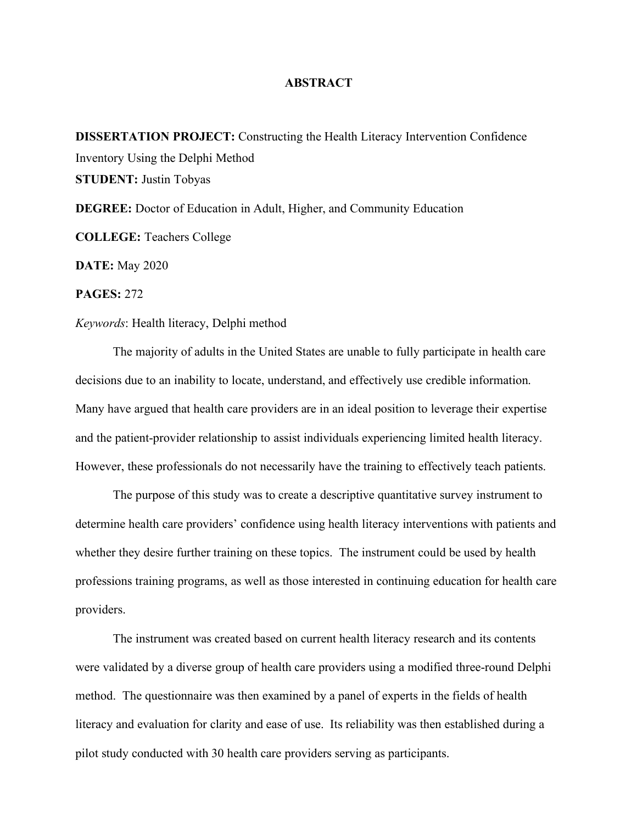## **ABSTRACT**

**DISSERTATION PROJECT:** Constructing the Health Literacy Intervention Confidence Inventory Using the Delphi Method **STUDENT:** Justin Tobyas **DEGREE:** Doctor of Education in Adult, Higher, and Community Education **COLLEGE:** Teachers College

**DATE:** May 2020

**PAGES:** 272

## *Keywords*: Health literacy, Delphi method

The majority of adults in the United States are unable to fully participate in health care decisions due to an inability to locate, understand, and effectively use credible information. Many have argued that health care providers are in an ideal position to leverage their expertise and the patient-provider relationship to assist individuals experiencing limited health literacy. However, these professionals do not necessarily have the training to effectively teach patients.

The purpose of this study was to create a descriptive quantitative survey instrument to determine health care providers' confidence using health literacy interventions with patients and whether they desire further training on these topics. The instrument could be used by health professions training programs, as well as those interested in continuing education for health care providers.

The instrument was created based on current health literacy research and its contents were validated by a diverse group of health care providers using a modified three-round Delphi method. The questionnaire was then examined by a panel of experts in the fields of health literacy and evaluation for clarity and ease of use. Its reliability was then established during a pilot study conducted with 30 health care providers serving as participants.